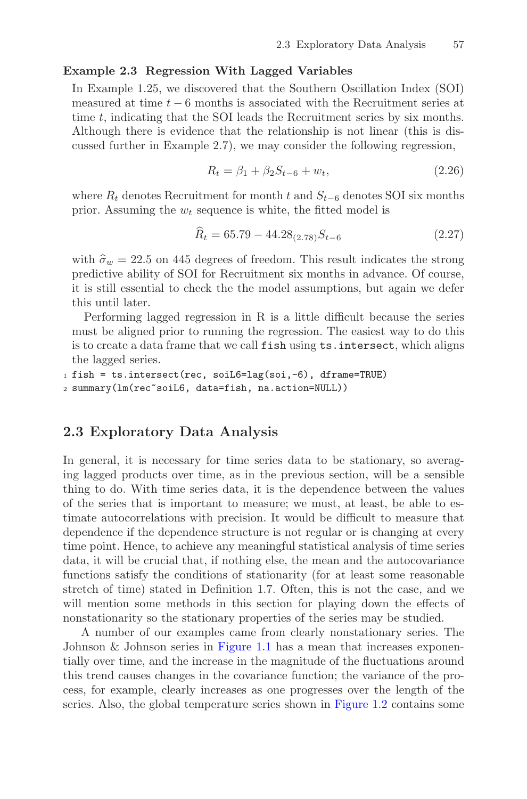## Example 2.3 Regression With Lagged Variables

In Example 1.25, we discovered that the Southern Oscillation Index (SOI) measured at time  $t - 6$  months is associated with the Recruitment series at time t, indicating that the SOI leads the Recruitment series by six months. Although there is evidence that the relationship is not linear (this is discussed further in Example 2.7), we may consider the following regression,

$$
R_t = \beta_1 + \beta_2 S_{t-6} + w_t, \tag{2.26}
$$

where  $R_t$  denotes Recruitment for month t and  $S_{t-6}$  denotes SOI six months prior. Assuming the  $w_t$  sequence is white, the fitted model is

$$
\widehat{R}_t = 65.79 - 44.28_{(2.78)}S_{t-6}
$$
\n(2.27)

with  $\hat{\sigma}_w = 22.5$  on 445 degrees of freedom. This result indicates the strong predictive ability of SOI for Recruitment six months in advance. Of course, it is still essential to check the the model assumptions, but again we defer this until later.

Performing lagged regression in R is a little difficult because the series must be aligned prior to running the regression. The easiest way to do this is to create a data frame that we call fish using ts.intersect, which aligns the lagged series.

```
1 fish = ts.intersect(rec, soiL6=lag(soi,-6), dframe=TRUE)
2 summary(lm(rec~soiL6, data=fish, na.action=NULL))
```
## 2.3 Exploratory Data Analysis

In general, it is necessary for time series data to be stationary, so averaging lagged products over time, as in the previous section, will be a sensible thing to do. With time series data, it is the dependence between the values of the series that is important to measure; we must, at least, be able to estimate autocorrelations with precision. It would be difficult to measure that dependence if the dependence structure is not regular or is changing at every time point. Hence, to achieve any meaningful statistical analysis of time series data, it will be crucial that, if nothing else, the mean and the autocovariance functions satisfy the conditions of stationarity (for at least some reasonable stretch of time) stated in Definition 1.7. Often, this is not the case, and we will mention some methods in this section for playing down the effects of nonstationarity so the stationary properties of the series may be studied.

A number of our examples came from clearly nonstationary series. The Johnson & Johnson series in Figure 1.1 has a mean that increases exponentially over time, and the increase in the magnitude of the fluctuations around this trend causes changes in the covariance function; the variance of the process, for example, clearly increases as one progresses over the length of the series. Also, the global temperature series shown in Figure 1.2 contains some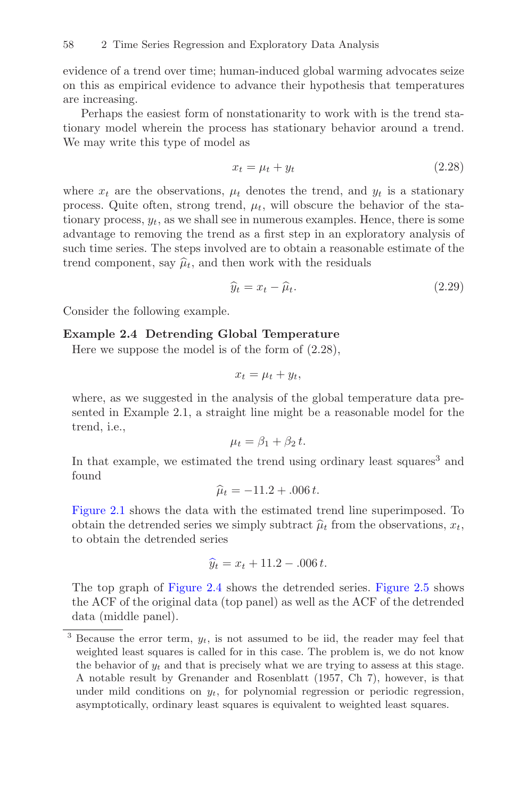evidence of a trend over time; human-induced global warming advocates seize on this as empirical evidence to advance their hypothesis that temperatures are increasing.

Perhaps the easiest form of nonstationarity to work with is the trend stationary model wherein the process has stationary behavior around a trend. We may write this type of model as

$$
x_t = \mu_t + y_t \tag{2.28}
$$

where  $x_t$  are the observations,  $\mu_t$  denotes the trend, and  $y_t$  is a stationary process. Quite often, strong trend,  $\mu_t$ , will obscure the behavior of the stationary process,  $y_t$ , as we shall see in numerous examples. Hence, there is some advantage to removing the trend as a first step in an exploratory analysis of such time series. The steps involved are to obtain a reasonable estimate of the trend component, say  $\hat{\mu}_t$ , and then work with the residuals

$$
\widehat{y}_t = x_t - \widehat{\mu}_t. \tag{2.29}
$$

Consider the following example.

## Example 2.4 Detrending Global Temperature

Here we suppose the model is of the form of (2.28),

$$
x_t = \mu_t + y_t,
$$

where, as we suggested in the analysis of the global temperature data presented in Example 2.1, a straight line might be a reasonable model for the trend, i.e.,

$$
\mu_t = \beta_1 + \beta_2 t.
$$

In that example, we estimated the trend using ordinary least squares<sup>3</sup> and found

$$
\hat{\mu}_t = -11.2 + .006 t.
$$

[Figure 2.1](#page--1-0) shows the data with the estimated trend line superimposed. To obtain the detrended series we simply subtract  $\hat{\mu}_t$  from the observations,  $x_t$ , to obtain the detrended series

$$
\hat{y}_t = x_t + 11.2 - 0.006 t.
$$

The top graph of [Figure 2.4](#page-2-0) shows the detrended series. [Figure 2.5](#page-3-0) shows the ACF of the original data (top panel) as well as the ACF of the detrended data (middle panel).

 $3$  Because the error term,  $y_t$ , is not assumed to be iid, the reader may feel that weighted least squares is called for in this case. The problem is, we do not know the behavior of  $y_t$  and that is precisely what we are trying to assess at this stage. A notable result by Grenander and Rosenblatt (1957, Ch 7), however, is that under mild conditions on  $y_t$ , for polynomial regression or periodic regression, asymptotically, ordinary least squares is equivalent to weighted least squares.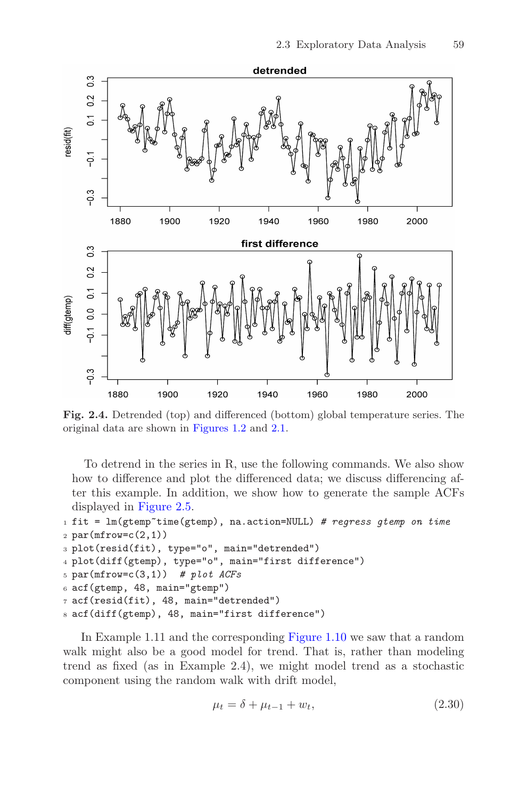<span id="page-2-0"></span>

Fig. 2.4. Detrended (top) and differenced (bottom) global temperature series. The original data are shown in Figures 1.2 and [2.1](#page--1-0).

To detrend in the series in R, use the following commands. We also show how to difference and plot the differenced data; we discuss differencing after this example. In addition, we show how to generate the sample ACFs displayed in [Figure 2.5](#page-3-0).

```
_1 fit = lm(gtemp-time(gtemp), na.action=NULL) # regress gtemp on time
2 par(mfrow=c(2,1))
```

```
3 plot(resid(fit), type="o", main="detrended")
```

```
4 plot(diff(gtemp), type="o", main="first difference")
```

```
5 par(mfrow=c(3,1)) # plot ACFs
```

```
6 acf(gtemp, 48, main="gtemp")
```

```
7 acf(resid(fit), 48, main="detrended")
```

```
8 acf(diff(gtemp), 48, main="first difference")
```
In Example 1.11 and the corresponding Figure 1.10 we saw that a random walk might also be a good model for trend. That is, rather than modeling trend as fixed (as in Example 2.4), we might model trend as a stochastic component using the random walk with drift model,

$$
\mu_t = \delta + \mu_{t-1} + w_t, \tag{2.30}
$$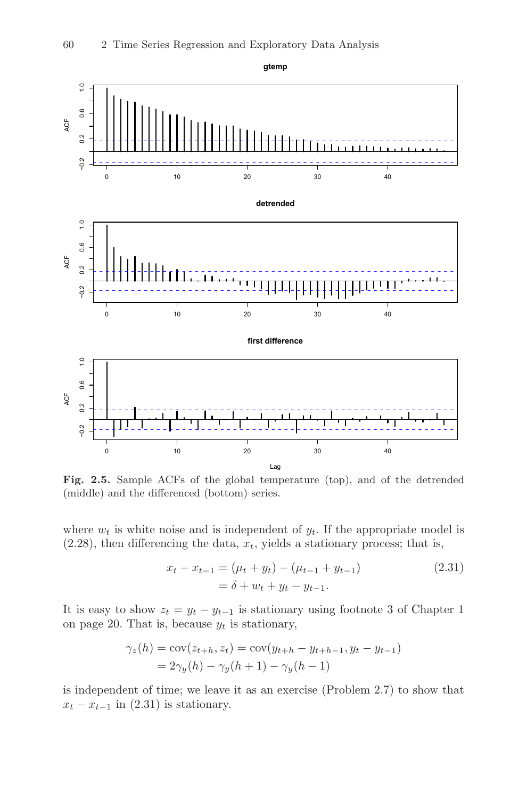<span id="page-3-0"></span>

Fig. 2.5. Sample ACFs of the global temperature (top), and of the detrended (middle) and the differenced (bottom) series.

where  $w_t$  is white noise and is independent of  $y_t$ . If the appropriate model is  $(2.28)$ , then differencing the data,  $x_t$ , yields a stationary process; that is,

$$
x_t - x_{t-1} = (\mu_t + y_t) - (\mu_{t-1} + y_{t-1})
$$
  
=  $\delta + w_t + y_t - y_{t-1}$ . (2.31)

It is easy to show  $z_t = y_t - y_{t-1}$  is stationary using footnote 3 of Chapter 1 on page 20. That is, because  $y_t$  is stationary,

$$
\gamma_z(h) = \text{cov}(z_{t+h}, z_t) = \text{cov}(y_{t+h} - y_{t+h-1}, y_t - y_{t-1})
$$
  
=  $2\gamma_y(h) - \gamma_y(h+1) - \gamma_y(h-1)$ 

is independent of time; we leave it as an exercise (Problem 2.7) to show that  $x_t - x_{t-1}$  in (2.31) is stationary.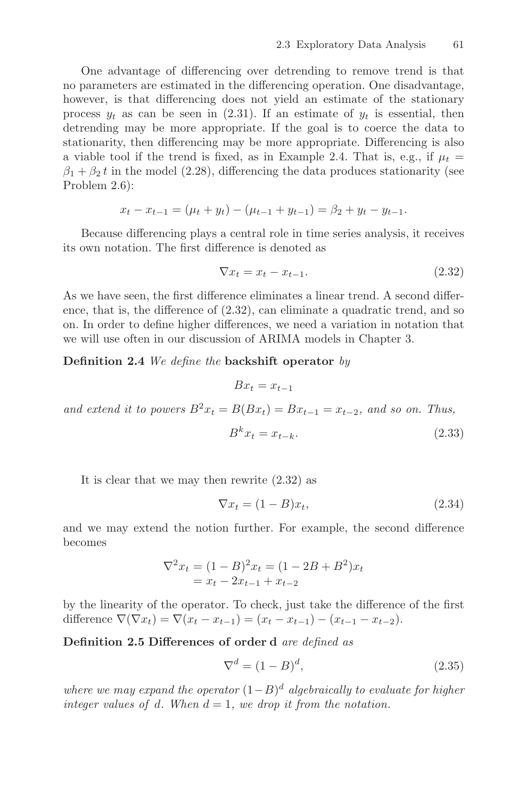One advantage of differencing over detrending to remove trend is that no parameters are estimated in the differencing operation. One disadvantage, however, is that differencing does not yield an estimate of the stationary process  $y_t$  as can be seen in (2.31). If an estimate of  $y_t$  is essential, then detrending may be more appropriate. If the goal is to coerce the data to stationarity, then differencing may be more appropriate. Differencing is also a viable tool if the trend is fixed, as in Example 2.4. That is, e.g., if  $\mu_t =$  $\beta_1 + \beta_2 t$  in the model (2.28), differencing the data produces stationarity (see Problem 2.6):

$$
x_t - x_{t-1} = (\mu_t + y_t) - (\mu_{t-1} + y_{t-1}) = \beta_2 + y_t - y_{t-1}.
$$

Because differencing plays a central role in time series analysis, it receives its own notation. The first difference is denoted as

$$
\nabla x_t = x_t - x_{t-1}.\tag{2.32}
$$

As we have seen, the first difference eliminates a linear trend. A second difference, that is, the difference of  $(2.32)$ , can eliminate a quadratic trend, and so on. In order to define higher differences, we need a variation in notation that we will use often in our discussion of ARIMA models in Chapter 3.

**Definition 2.4** We define the backshift operator by

$$
Bx_t = x_{t-1}
$$

and extend it to powers  $B^2x_t = B(Bx_t) = Bx_{t-1} = x_{t-2}$ , and so on. Thus,

$$
B^k x_t = x_{t-k}.\tag{2.33}
$$

It is clear that we may then rewrite (2.32) as

$$
\nabla x_t = (1 - B)x_t,\tag{2.34}
$$

and we may extend the notion further. For example, the second difference becomes

$$
\nabla^2 x_t = (1 - B)^2 x_t = (1 - 2B + B^2) x_t
$$
  
=  $x_t - 2x_{t-1} + x_{t-2}$ 

by the linearity of the operator. To check, just take the difference of the first difference  $\nabla(\nabla x_t) = \nabla(x_t - x_{t-1}) = (x_t - x_{t-1}) - (x_{t-1} - x_{t-2}).$ 

Definition 2.5 Differences of order d are defined as

$$
\nabla^d = (1 - B)^d,\tag{2.35}
$$

where we may expand the operator  $(1-B)^d$  algebraically to evaluate for higher integer values of d. When  $d = 1$ , we drop it from the notation.